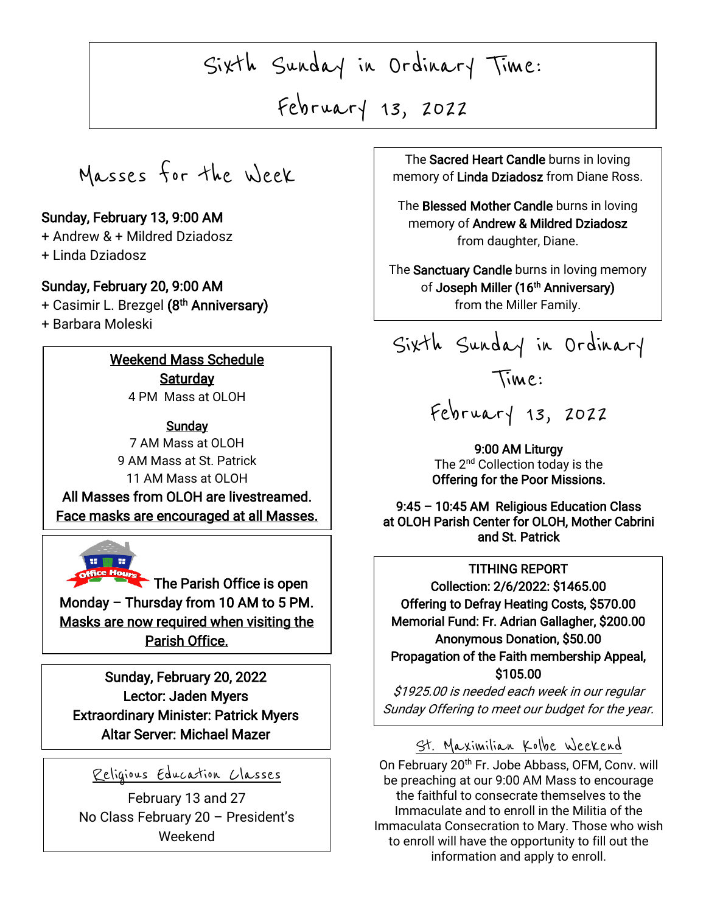Sixth Sunday in Ordinary Time:

New Year February 13, 2022

 $\overline{\phantom{a}}$ 

Masses for the Week

#### Sunday, February 13, 9:00 AM

+ Andrew & + Mildred Dziadosz

+ Linda Dziadosz

#### Sunday, February 20, 9:00 AM

+ Casimir L. Brezgel (8<sup>th</sup> Anniversary)

+ Barbara Moleski

I

I

I

I

-<br>آ

 $\overline{\phantom{a}}$ 

L

### Weekend Mass Schedule **Saturday**

4 PM Mass at OLOH

**Sunday** 7 AM Mass at OLOH 9 AM Mass at St. Patrick 11 AM Mass at OLOH All Masses from OLOH are livestreamed.

Face masks are encouraged at all Masses.



The Parish Office is open Monday – Thursday from 10 AM to 5 PM. Masks are now required when visiting the Parish Office.

Sunday, February 20, 2022 Lector: Jaden Myers Extraordinary Minister: Patrick Myers Altar Server: Michael Mazer

## Religious Education Classes

February 13 and 27 No Class February 20 – President's Weekend

 $\sqrt{2n}$ The Sacred Heart Candle burns in loving memory of Linda Dziadosz from Diane Ross.

> or **Andrew & Mildred I**<br>from daughter, Diane. The Blessed Mother Candle burns in loving memory of Andrew & Mildred Dziadosz

The Sanctuary Candle burns in loving memory of Joseph Miller (16<sup>th</sup> Anniversary) from the Miller Family.

Sixth Sunday in Ordinary

# February 13, 2022

Time:

9:00 AM Liturgy The 2<sup>nd</sup> Collection today is the Offering for the Poor Missions.

9:45 – 10:45 AM Religious Education Class at OLOH Parish Center for OLOH, Mother Cabrini and St. Patrick

## TITHING REPORT

 Collection: 2/6/2022: \$1465.00 Memorial Fund: Fr. Adrian Gallagher, \$200.00 Anonymous Donation, \$50.00 Offering to Defray Heating Costs, \$570.00 Propagation of the Faith membership Appeal, \$105.00

 \$1925.00 is needed each week in our regular Sunday Offering to meet our budget for the year.

## St. Maximilian Kolbe Weekend

On February 20<sup>th</sup> Fr. Jobe Abbass, OFM, Conv. will be preaching at our 9:00 AM Mass to encourage the faithful to consecrate themselves to the Immaculate and to enroll in the Militia of the Immaculata Consecration to Mary. Those who wish to enroll will have the opportunity to fill out the information and apply to enroll.